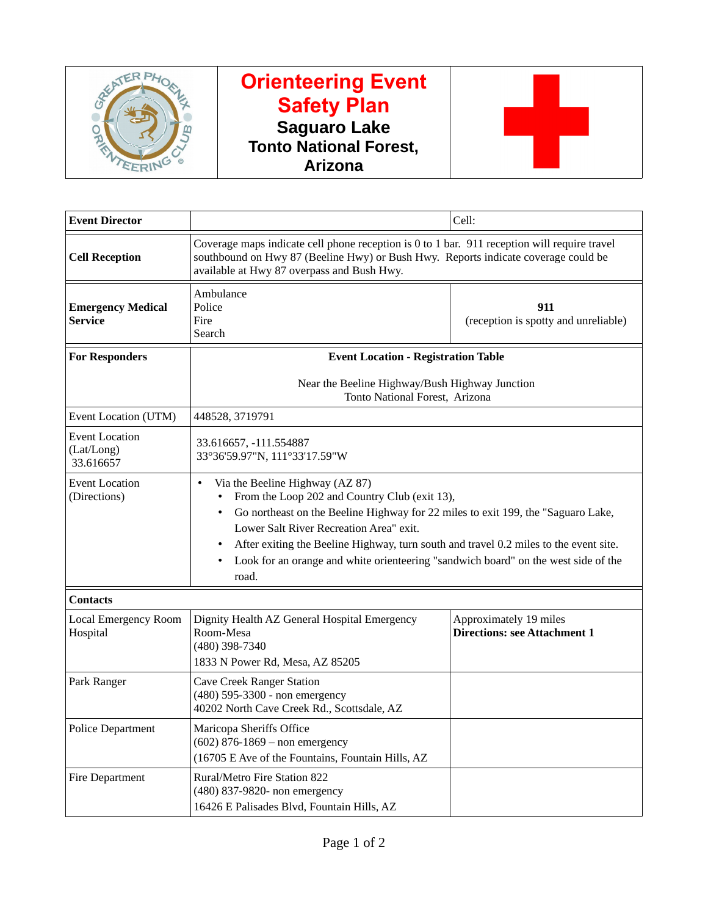

## **Orienteering Event Safety Plan Saguaro Lake Tonto National Forest, Arizona**



| <b>Event Director</b>                            | Cell:                                                                                                                                                                                                                                                                                                                                                                                                                |                                                               |
|--------------------------------------------------|----------------------------------------------------------------------------------------------------------------------------------------------------------------------------------------------------------------------------------------------------------------------------------------------------------------------------------------------------------------------------------------------------------------------|---------------------------------------------------------------|
| <b>Cell Reception</b>                            | Coverage maps indicate cell phone reception is 0 to 1 bar. 911 reception will require travel<br>southbound on Hwy 87 (Beeline Hwy) or Bush Hwy. Reports indicate coverage could be<br>available at Hwy 87 overpass and Bush Hwy.                                                                                                                                                                                     |                                                               |
| <b>Emergency Medical</b><br><b>Service</b>       | Ambulance<br>Police<br>Fire<br>Search                                                                                                                                                                                                                                                                                                                                                                                | 911<br>(reception is spotty and unreliable)                   |
| <b>For Responders</b>                            | <b>Event Location - Registration Table</b>                                                                                                                                                                                                                                                                                                                                                                           |                                                               |
|                                                  | Near the Beeline Highway/Bush Highway Junction<br>Tonto National Forest, Arizona                                                                                                                                                                                                                                                                                                                                     |                                                               |
| Event Location (UTM)                             | 448528, 3719791                                                                                                                                                                                                                                                                                                                                                                                                      |                                                               |
| <b>Event Location</b><br>(Lat/Long)<br>33.616657 | 33.616657, -111.554887<br>33°36'59.97"N, 111°33'17.59"W                                                                                                                                                                                                                                                                                                                                                              |                                                               |
| <b>Event Location</b><br>(Directions)            | Via the Beeline Highway (AZ 87)<br>$\bullet$<br>From the Loop 202 and Country Club (exit 13),<br>Go northeast on the Beeline Highway for 22 miles to exit 199, the "Saguaro Lake,<br>Lower Salt River Recreation Area" exit.<br>After exiting the Beeline Highway, turn south and travel 0.2 miles to the event site.<br>Look for an orange and white orienteering "sandwich board" on the west side of the<br>road. |                                                               |
| <b>Contacts</b>                                  |                                                                                                                                                                                                                                                                                                                                                                                                                      |                                                               |
| <b>Local Emergency Room</b><br>Hospital          | Dignity Health AZ General Hospital Emergency<br>Room-Mesa<br>(480) 398-7340<br>1833 N Power Rd, Mesa, AZ 85205                                                                                                                                                                                                                                                                                                       | Approximately 19 miles<br><b>Directions: see Attachment 1</b> |
| Park Ranger                                      | <b>Cave Creek Ranger Station</b><br>(480) 595-3300 - non emergency<br>40202 North Cave Creek Rd., Scottsdale, AZ                                                                                                                                                                                                                                                                                                     |                                                               |
| <b>Police Department</b>                         | Maricopa Sheriffs Office<br>$(602)$ 876-1869 – non emergency<br>(16705 E Ave of the Fountains, Fountain Hills, AZ                                                                                                                                                                                                                                                                                                    |                                                               |
| Fire Department                                  | Rural/Metro Fire Station 822<br>(480) 837-9820- non emergency<br>16426 E Palisades Blvd, Fountain Hills, AZ                                                                                                                                                                                                                                                                                                          |                                                               |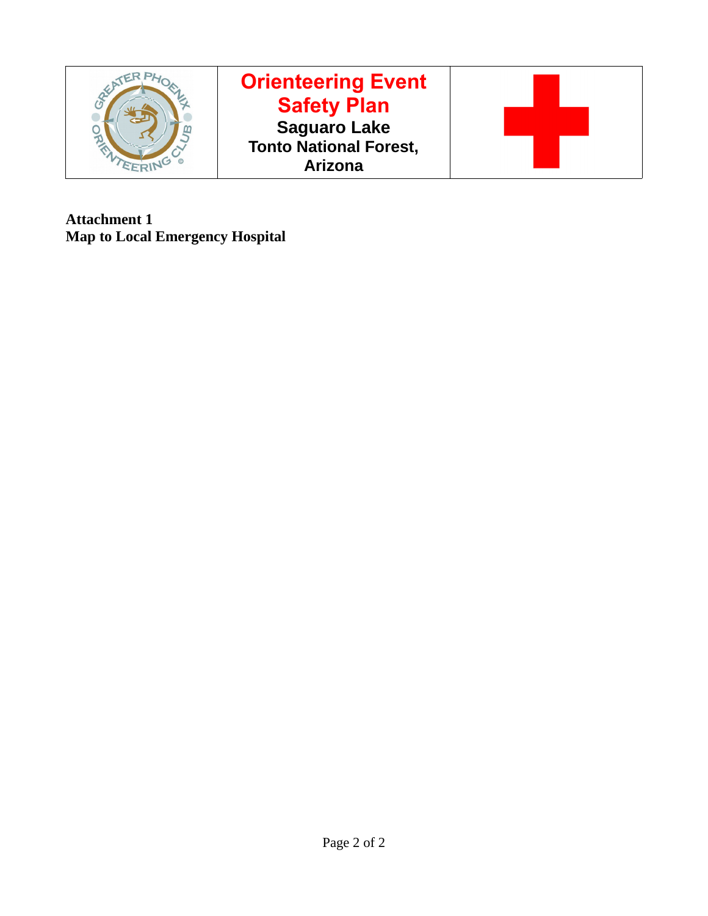

**Attachment 1 Map to Local Emergency Hospital**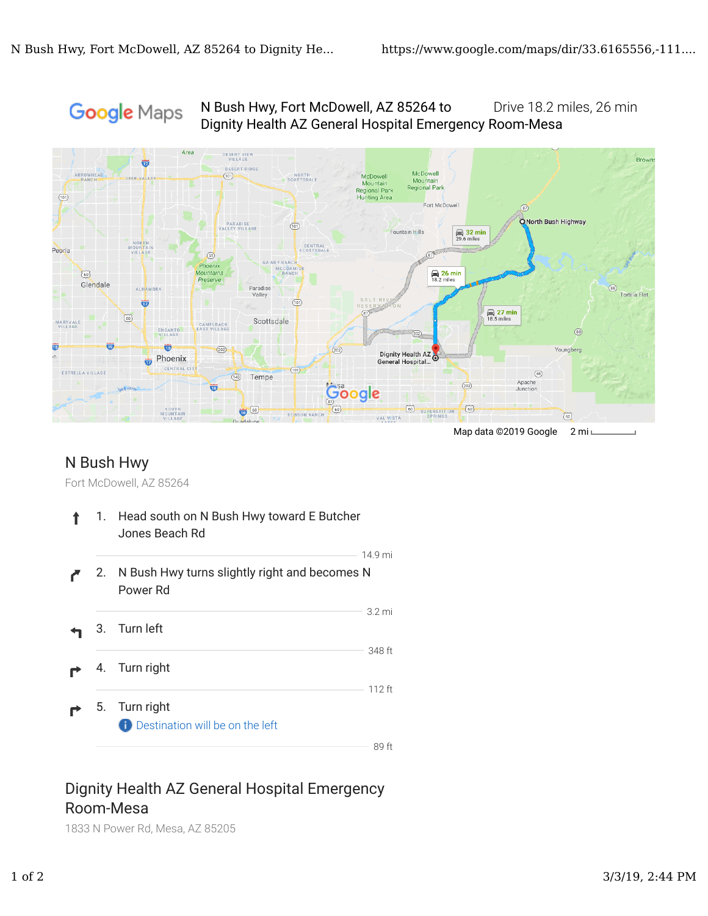## Google Maps

N Bush Hwy, Fort McDowell, AZ 85264 to Drive 18.2 miles, 26 min Dignity Health AZ General Hospital Emergency Room-Mesa



Map data ©2019 Google 2 mi

## N Bush Hwy

Fort McDowell, AZ 85264

1. Head south on N Bush Hwy toward E Butcher  $\hat{\mathbf{r}}$ Jones Beach Rd 14.9 mi 2. N Bush Hwy turns slightly right and becomes N Power Rd 3.2 mi 3. Turn left 348 ft 4. Turn right 112 ft 5. Turn right **Destination will be on the left** 89 ft

## Dignity Health AZ General Hospital Emergency Room-Mesa

1833 N Power Rd, Mesa, AZ 85205